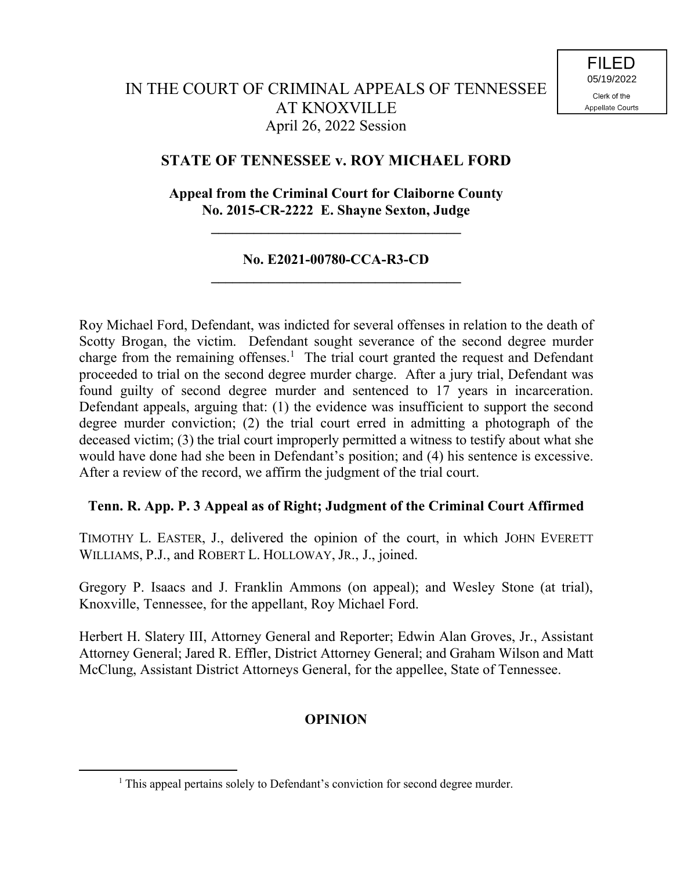# **STATE OF TENNESSEE v. ROY MICHAEL FORD**

## **Appeal from the Criminal Court for Claiborne County No. 2015-CR-2222 E. Shayne Sexton, Judge**

**\_\_\_\_\_\_\_\_\_\_\_\_\_\_\_\_\_\_\_\_\_\_\_\_\_\_\_\_\_\_\_\_\_\_\_**

### **No. E2021-00780-CCA-R3-CD \_\_\_\_\_\_\_\_\_\_\_\_\_\_\_\_\_\_\_\_\_\_\_\_\_\_\_\_\_\_\_\_\_\_\_**

Roy Michael Ford, Defendant, was indicted for several offenses in relation to the death of Scotty Brogan, the victim. Defendant sought severance of the second degree murder charge from the remaining offenses.<sup>1</sup> The trial court granted the request and Defendant proceeded to trial on the second degree murder charge. After a jury trial, Defendant was found guilty of second degree murder and sentenced to 17 years in incarceration. Defendant appeals, arguing that: (1) the evidence was insufficient to support the second degree murder conviction; (2) the trial court erred in admitting a photograph of the deceased victim; (3) the trial court improperly permitted a witness to testify about what she would have done had she been in Defendant's position; and (4) his sentence is excessive. After a review of the record, we affirm the judgment of the trial court.

## **Tenn. R. App. P. 3 Appeal as of Right; Judgment of the Criminal Court Affirmed**

TIMOTHY L. EASTER, J., delivered the opinion of the court, in which JOHN EVERETT WILLIAMS, P.J., and ROBERT L. HOLLOWAY, JR., J., joined.

Gregory P. Isaacs and J. Franklin Ammons (on appeal); and Wesley Stone (at trial), Knoxville, Tennessee, for the appellant, Roy Michael Ford.

Herbert H. Slatery III, Attorney General and Reporter; Edwin Alan Groves, Jr., Assistant Attorney General; Jared R. Effler, District Attorney General; and Graham Wilson and Matt McClung, Assistant District Attorneys General, for the appellee, State of Tennessee.

## **OPINION**

 $\overline{a}$ 

<sup>&</sup>lt;sup>1</sup> This appeal pertains solely to Defendant's conviction for second degree murder.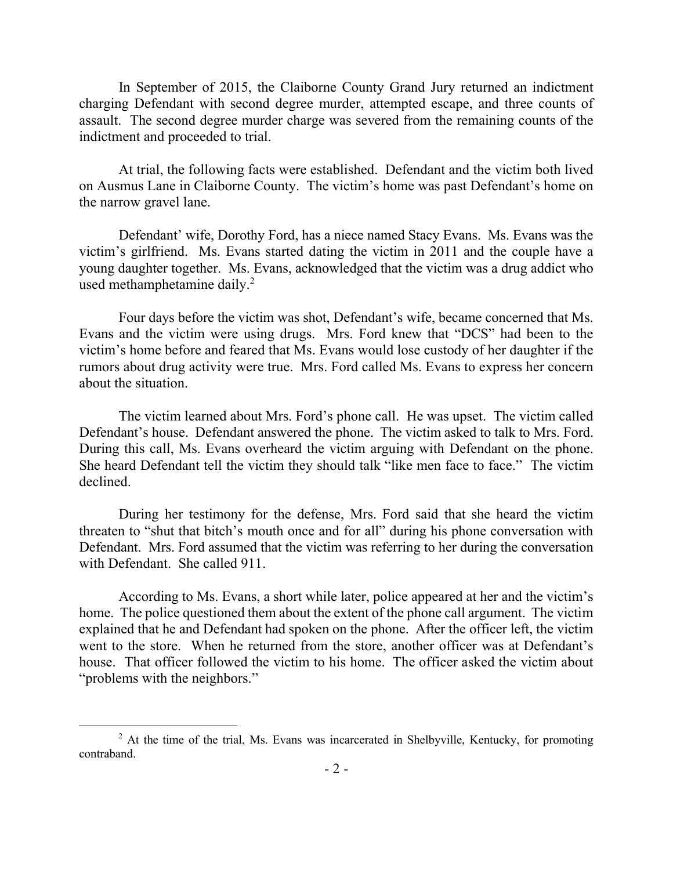In September of 2015, the Claiborne County Grand Jury returned an indictment charging Defendant with second degree murder, attempted escape, and three counts of assault. The second degree murder charge was severed from the remaining counts of the indictment and proceeded to trial.

At trial, the following facts were established. Defendant and the victim both lived on Ausmus Lane in Claiborne County. The victim's home was past Defendant's home on the narrow gravel lane.

Defendant' wife, Dorothy Ford, has a niece named Stacy Evans. Ms. Evans was the victim's girlfriend. Ms. Evans started dating the victim in 2011 and the couple have a young daughter together. Ms. Evans, acknowledged that the victim was a drug addict who used methamphetamine daily.<sup>2</sup>

Four days before the victim was shot, Defendant's wife, became concerned that Ms. Evans and the victim were using drugs. Mrs. Ford knew that "DCS" had been to the victim's home before and feared that Ms. Evans would lose custody of her daughter if the rumors about drug activity were true. Mrs. Ford called Ms. Evans to express her concern about the situation.

The victim learned about Mrs. Ford's phone call. He was upset. The victim called Defendant's house. Defendant answered the phone. The victim asked to talk to Mrs. Ford. During this call, Ms. Evans overheard the victim arguing with Defendant on the phone. She heard Defendant tell the victim they should talk "like men face to face." The victim declined.

During her testimony for the defense, Mrs. Ford said that she heard the victim threaten to "shut that bitch's mouth once and for all" during his phone conversation with Defendant. Mrs. Ford assumed that the victim was referring to her during the conversation with Defendant. She called 911.

According to Ms. Evans, a short while later, police appeared at her and the victim's home. The police questioned them about the extent of the phone call argument. The victim explained that he and Defendant had spoken on the phone. After the officer left, the victim went to the store. When he returned from the store, another officer was at Defendant's house. That officer followed the victim to his home. The officer asked the victim about "problems with the neighbors."

 $\overline{a}$ 

 $<sup>2</sup>$  At the time of the trial, Ms. Evans was incarcerated in Shelbyville, Kentucky, for promoting</sup> contraband.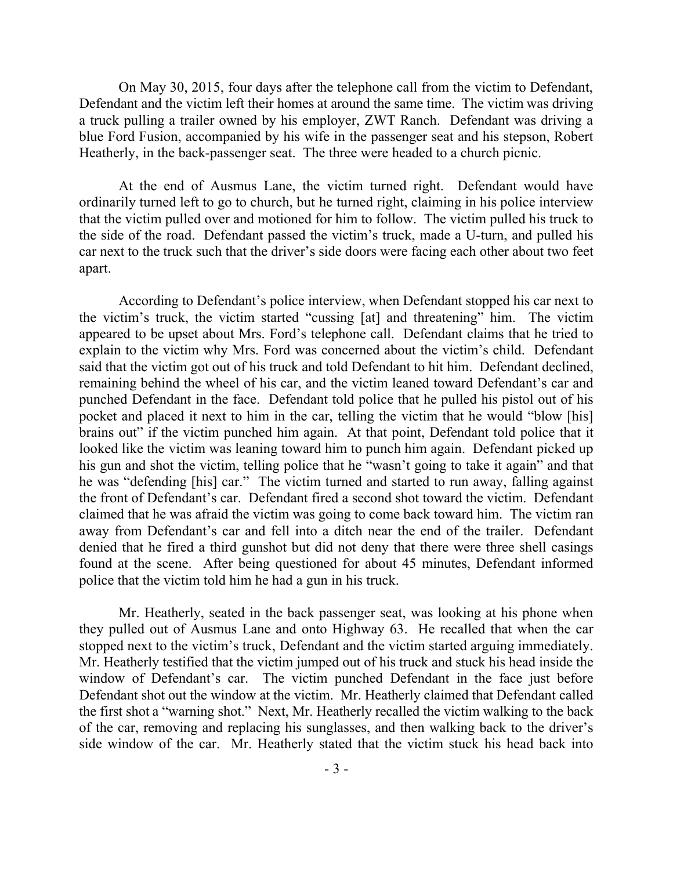On May 30, 2015, four days after the telephone call from the victim to Defendant, Defendant and the victim left their homes at around the same time. The victim was driving a truck pulling a trailer owned by his employer, ZWT Ranch. Defendant was driving a blue Ford Fusion, accompanied by his wife in the passenger seat and his stepson, Robert Heatherly, in the back-passenger seat. The three were headed to a church picnic.

At the end of Ausmus Lane, the victim turned right. Defendant would have ordinarily turned left to go to church, but he turned right, claiming in his police interview that the victim pulled over and motioned for him to follow. The victim pulled his truck to the side of the road. Defendant passed the victim's truck, made a U-turn, and pulled his car next to the truck such that the driver's side doors were facing each other about two feet apart.

According to Defendant's police interview, when Defendant stopped his car next to the victim's truck, the victim started "cussing [at] and threatening" him. The victim appeared to be upset about Mrs. Ford's telephone call. Defendant claims that he tried to explain to the victim why Mrs. Ford was concerned about the victim's child. Defendant said that the victim got out of his truck and told Defendant to hit him. Defendant declined, remaining behind the wheel of his car, and the victim leaned toward Defendant's car and punched Defendant in the face. Defendant told police that he pulled his pistol out of his pocket and placed it next to him in the car, telling the victim that he would "blow [his] brains out" if the victim punched him again. At that point, Defendant told police that it looked like the victim was leaning toward him to punch him again. Defendant picked up his gun and shot the victim, telling police that he "wasn't going to take it again" and that he was "defending [his] car." The victim turned and started to run away, falling against the front of Defendant's car. Defendant fired a second shot toward the victim. Defendant claimed that he was afraid the victim was going to come back toward him. The victim ran away from Defendant's car and fell into a ditch near the end of the trailer. Defendant denied that he fired a third gunshot but did not deny that there were three shell casings found at the scene. After being questioned for about 45 minutes, Defendant informed police that the victim told him he had a gun in his truck.

Mr. Heatherly, seated in the back passenger seat, was looking at his phone when they pulled out of Ausmus Lane and onto Highway 63. He recalled that when the car stopped next to the victim's truck, Defendant and the victim started arguing immediately. Mr. Heatherly testified that the victim jumped out of his truck and stuck his head inside the window of Defendant's car. The victim punched Defendant in the face just before Defendant shot out the window at the victim. Mr. Heatherly claimed that Defendant called the first shot a "warning shot." Next, Mr. Heatherly recalled the victim walking to the back of the car, removing and replacing his sunglasses, and then walking back to the driver's side window of the car. Mr. Heatherly stated that the victim stuck his head back into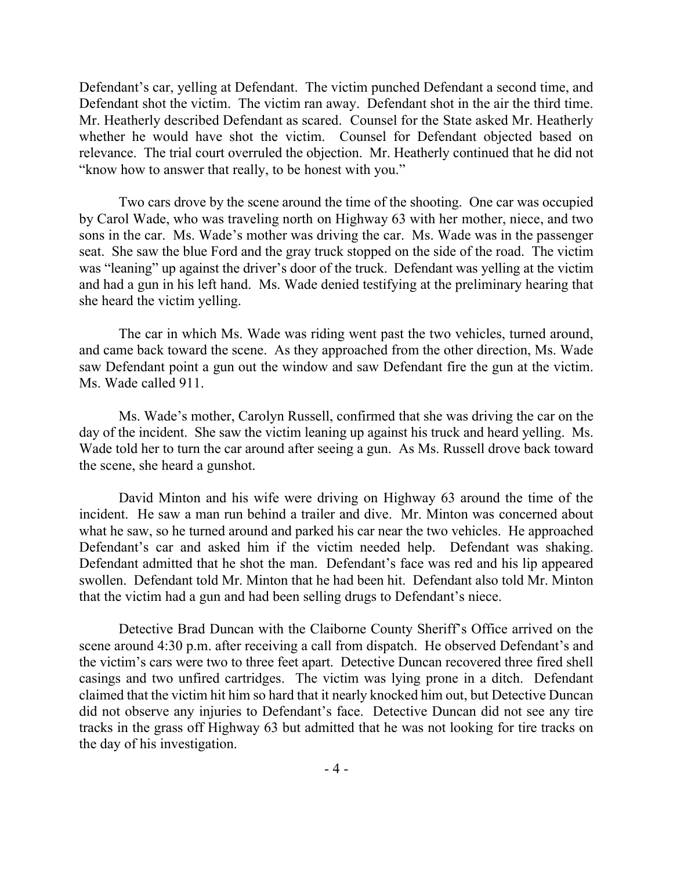Defendant's car, yelling at Defendant. The victim punched Defendant a second time, and Defendant shot the victim. The victim ran away. Defendant shot in the air the third time. Mr. Heatherly described Defendant as scared. Counsel for the State asked Mr. Heatherly whether he would have shot the victim. Counsel for Defendant objected based on relevance. The trial court overruled the objection. Mr. Heatherly continued that he did not "know how to answer that really, to be honest with you."

Two cars drove by the scene around the time of the shooting. One car was occupied by Carol Wade, who was traveling north on Highway 63 with her mother, niece, and two sons in the car. Ms. Wade's mother was driving the car. Ms. Wade was in the passenger seat. She saw the blue Ford and the gray truck stopped on the side of the road. The victim was "leaning" up against the driver's door of the truck. Defendant was yelling at the victim and had a gun in his left hand. Ms. Wade denied testifying at the preliminary hearing that she heard the victim yelling.

The car in which Ms. Wade was riding went past the two vehicles, turned around, and came back toward the scene. As they approached from the other direction, Ms. Wade saw Defendant point a gun out the window and saw Defendant fire the gun at the victim. Ms. Wade called 911.

Ms. Wade's mother, Carolyn Russell, confirmed that she was driving the car on the day of the incident. She saw the victim leaning up against his truck and heard yelling. Ms. Wade told her to turn the car around after seeing a gun. As Ms. Russell drove back toward the scene, she heard a gunshot.

David Minton and his wife were driving on Highway 63 around the time of the incident. He saw a man run behind a trailer and dive. Mr. Minton was concerned about what he saw, so he turned around and parked his car near the two vehicles. He approached Defendant's car and asked him if the victim needed help. Defendant was shaking. Defendant admitted that he shot the man. Defendant's face was red and his lip appeared swollen. Defendant told Mr. Minton that he had been hit. Defendant also told Mr. Minton that the victim had a gun and had been selling drugs to Defendant's niece.

Detective Brad Duncan with the Claiborne County Sheriff's Office arrived on the scene around 4:30 p.m. after receiving a call from dispatch. He observed Defendant's and the victim's cars were two to three feet apart. Detective Duncan recovered three fired shell casings and two unfired cartridges. The victim was lying prone in a ditch. Defendant claimed that the victim hit him so hard that it nearly knocked him out, but Detective Duncan did not observe any injuries to Defendant's face. Detective Duncan did not see any tire tracks in the grass off Highway 63 but admitted that he was not looking for tire tracks on the day of his investigation.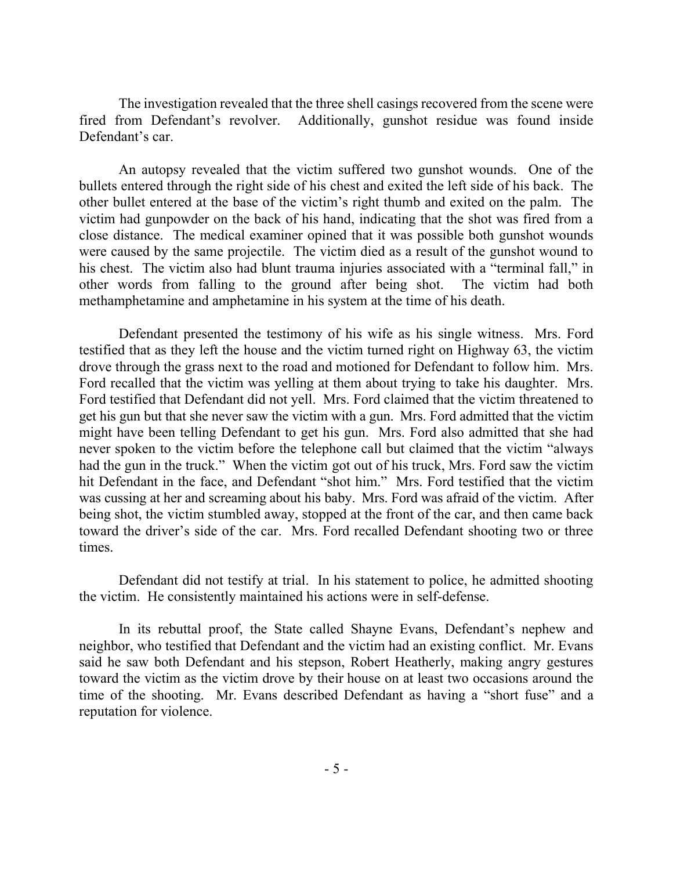The investigation revealed that the three shell casings recovered from the scene were fired from Defendant's revolver. Additionally, gunshot residue was found inside Defendant's car.

An autopsy revealed that the victim suffered two gunshot wounds. One of the bullets entered through the right side of his chest and exited the left side of his back. The other bullet entered at the base of the victim's right thumb and exited on the palm. The victim had gunpowder on the back of his hand, indicating that the shot was fired from a close distance. The medical examiner opined that it was possible both gunshot wounds were caused by the same projectile. The victim died as a result of the gunshot wound to his chest. The victim also had blunt trauma injuries associated with a "terminal fall," in other words from falling to the ground after being shot. The victim had both methamphetamine and amphetamine in his system at the time of his death.

Defendant presented the testimony of his wife as his single witness. Mrs. Ford testified that as they left the house and the victim turned right on Highway 63, the victim drove through the grass next to the road and motioned for Defendant to follow him. Mrs. Ford recalled that the victim was yelling at them about trying to take his daughter. Mrs. Ford testified that Defendant did not yell. Mrs. Ford claimed that the victim threatened to get his gun but that she never saw the victim with a gun. Mrs. Ford admitted that the victim might have been telling Defendant to get his gun. Mrs. Ford also admitted that she had never spoken to the victim before the telephone call but claimed that the victim "always had the gun in the truck." When the victim got out of his truck, Mrs. Ford saw the victim hit Defendant in the face, and Defendant "shot him." Mrs. Ford testified that the victim was cussing at her and screaming about his baby. Mrs. Ford was afraid of the victim. After being shot, the victim stumbled away, stopped at the front of the car, and then came back toward the driver's side of the car. Mrs. Ford recalled Defendant shooting two or three times.

Defendant did not testify at trial. In his statement to police, he admitted shooting the victim. He consistently maintained his actions were in self-defense.

In its rebuttal proof, the State called Shayne Evans, Defendant's nephew and neighbor, who testified that Defendant and the victim had an existing conflict. Mr. Evans said he saw both Defendant and his stepson, Robert Heatherly, making angry gestures toward the victim as the victim drove by their house on at least two occasions around the time of the shooting. Mr. Evans described Defendant as having a "short fuse" and a reputation for violence.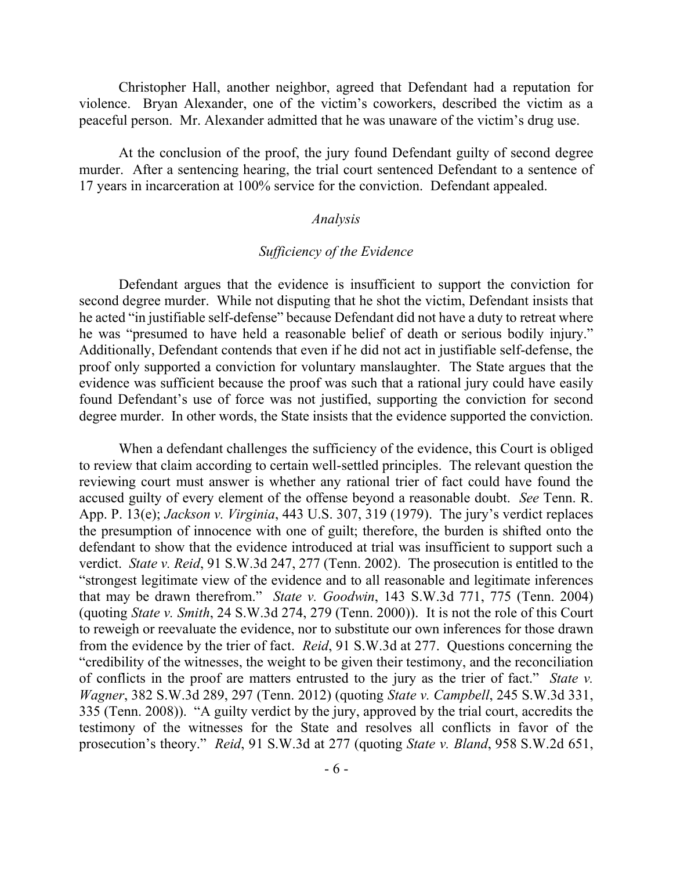Christopher Hall, another neighbor, agreed that Defendant had a reputation for violence. Bryan Alexander, one of the victim's coworkers, described the victim as a peaceful person. Mr. Alexander admitted that he was unaware of the victim's drug use.

At the conclusion of the proof, the jury found Defendant guilty of second degree murder. After a sentencing hearing, the trial court sentenced Defendant to a sentence of 17 years in incarceration at 100% service for the conviction. Defendant appealed.

### *Analysis*

### *Sufficiency of the Evidence*

Defendant argues that the evidence is insufficient to support the conviction for second degree murder. While not disputing that he shot the victim, Defendant insists that he acted "in justifiable self-defense" because Defendant did not have a duty to retreat where he was "presumed to have held a reasonable belief of death or serious bodily injury." Additionally, Defendant contends that even if he did not act in justifiable self-defense, the proof only supported a conviction for voluntary manslaughter. The State argues that the evidence was sufficient because the proof was such that a rational jury could have easily found Defendant's use of force was not justified, supporting the conviction for second degree murder. In other words, the State insists that the evidence supported the conviction.

When a defendant challenges the sufficiency of the evidence, this Court is obliged to review that claim according to certain well-settled principles. The relevant question the reviewing court must answer is whether any rational trier of fact could have found the accused guilty of every element of the offense beyond a reasonable doubt. *See* Tenn. R. App. P. 13(e); *Jackson v. Virginia*, 443 U.S. 307, 319 (1979). The jury's verdict replaces the presumption of innocence with one of guilt; therefore, the burden is shifted onto the defendant to show that the evidence introduced at trial was insufficient to support such a verdict. *State v. Reid*, 91 S.W.3d 247, 277 (Tenn. 2002). The prosecution is entitled to the "strongest legitimate view of the evidence and to all reasonable and legitimate inferences that may be drawn therefrom." *State v. Goodwin*, 143 S.W.3d 771, 775 (Tenn. 2004) (quoting *State v. Smith*, 24 S.W.3d 274, 279 (Tenn. 2000)). It is not the role of this Court to reweigh or reevaluate the evidence, nor to substitute our own inferences for those drawn from the evidence by the trier of fact. *Reid*, 91 S.W.3d at 277. Questions concerning the "credibility of the witnesses, the weight to be given their testimony, and the reconciliation of conflicts in the proof are matters entrusted to the jury as the trier of fact." *State v. Wagner*, 382 S.W.3d 289, 297 (Tenn. 2012) (quoting *State v. Campbell*, 245 S.W.3d 331, 335 (Tenn. 2008)). "A guilty verdict by the jury, approved by the trial court, accredits the testimony of the witnesses for the State and resolves all conflicts in favor of the prosecution's theory." *Reid*, 91 S.W.3d at 277 (quoting *State v. Bland*, 958 S.W.2d 651,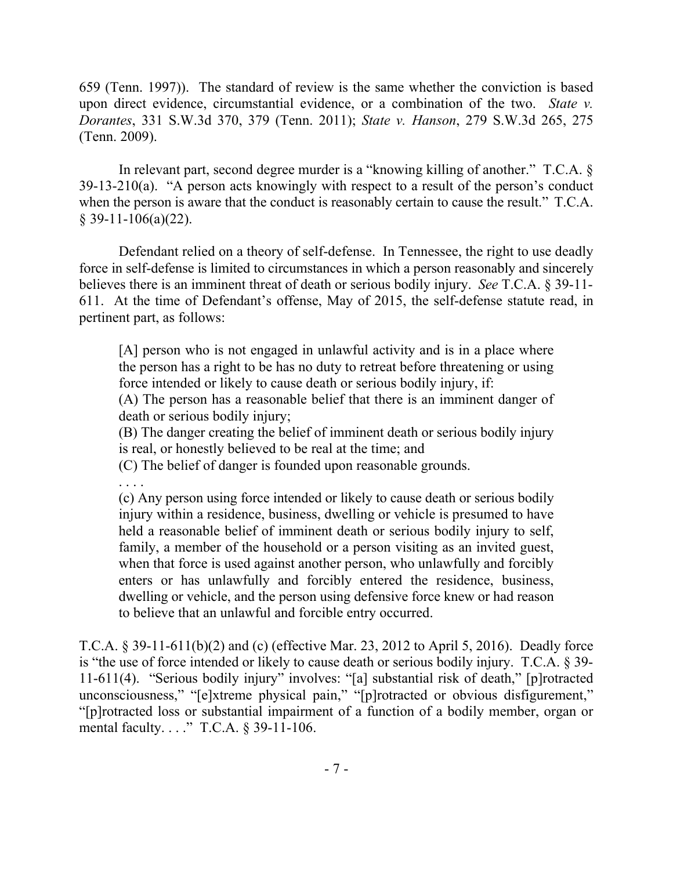659 (Tenn. 1997)). The standard of review is the same whether the conviction is based upon direct evidence, circumstantial evidence, or a combination of the two. *State v. Dorantes*, 331 S.W.3d 370, 379 (Tenn. 2011); *State v. Hanson*, 279 S.W.3d 265, 275 (Tenn. 2009).

In relevant part, second degree murder is a "knowing killing of another." T.C.A. § 39-13-210(a). "A person acts knowingly with respect to a result of the person's conduct when the person is aware that the conduct is reasonably certain to cause the result." T.C.A.  $§$  39-11-106(a)(22).

Defendant relied on a theory of self-defense. In Tennessee, the right to use deadly force in self-defense is limited to circumstances in which a person reasonably and sincerely believes there is an imminent threat of death or serious bodily injury. *See* T.C.A. § 39-11- 611. At the time of Defendant's offense, May of 2015, the self-defense statute read, in pertinent part, as follows:

[A] person who is not engaged in unlawful activity and is in a place where the person has a right to be has no duty to retreat before threatening or using force intended or likely to cause death or serious bodily injury, if:

(A) The person has a reasonable belief that there is an imminent danger of death or serious bodily injury;

(B) The danger creating the belief of imminent death or serious bodily injury is real, or honestly believed to be real at the time; and

(C) The belief of danger is founded upon reasonable grounds.

. . . .

(c) Any person using force intended or likely to cause death or serious bodily injury within a residence, business, dwelling or vehicle is presumed to have held a reasonable belief of imminent death or serious bodily injury to self, family, a member of the household or a person visiting as an invited guest, when that force is used against another person, who unlawfully and forcibly enters or has unlawfully and forcibly entered the residence, business, dwelling or vehicle, and the person using defensive force knew or had reason to believe that an unlawful and forcible entry occurred.

T.C.A. § 39-11-611(b)(2) and (c) (effective Mar. 23, 2012 to April 5, 2016). Deadly force is "the use of force intended or likely to cause death or serious bodily injury. T.C.A. § 39- 11-611(4). "Serious bodily injury" involves: "[a] substantial risk of death," [p]rotracted unconsciousness," "[e]xtreme physical pain," "[p]rotracted or obvious disfigurement," "[p]rotracted loss or substantial impairment of a function of a bodily member, organ or mental faculty. . . ." T.C.A. § 39-11-106.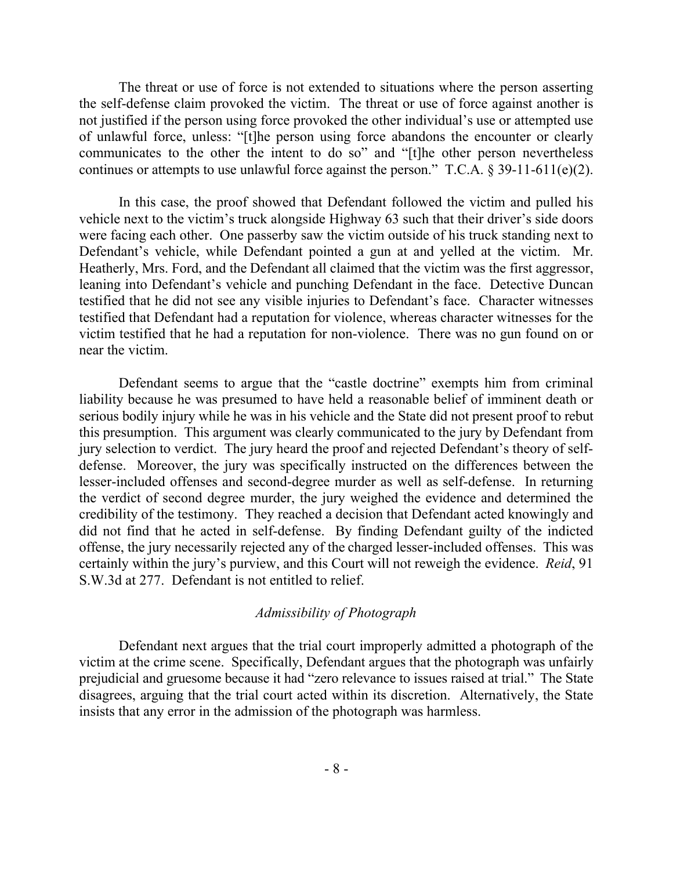The threat or use of force is not extended to situations where the person asserting the self-defense claim provoked the victim. The threat or use of force against another is not justified if the person using force provoked the other individual's use or attempted use of unlawful force, unless: "[t]he person using force abandons the encounter or clearly communicates to the other the intent to do so" and "[t]he other person nevertheless continues or attempts to use unlawful force against the person." T.C.A.  $\S 39-11-611(e)(2)$ .

In this case, the proof showed that Defendant followed the victim and pulled his vehicle next to the victim's truck alongside Highway 63 such that their driver's side doors were facing each other. One passerby saw the victim outside of his truck standing next to Defendant's vehicle, while Defendant pointed a gun at and yelled at the victim. Mr. Heatherly, Mrs. Ford, and the Defendant all claimed that the victim was the first aggressor, leaning into Defendant's vehicle and punching Defendant in the face. Detective Duncan testified that he did not see any visible injuries to Defendant's face. Character witnesses testified that Defendant had a reputation for violence, whereas character witnesses for the victim testified that he had a reputation for non-violence. There was no gun found on or near the victim.

Defendant seems to argue that the "castle doctrine" exempts him from criminal liability because he was presumed to have held a reasonable belief of imminent death or serious bodily injury while he was in his vehicle and the State did not present proof to rebut this presumption. This argument was clearly communicated to the jury by Defendant from jury selection to verdict. The jury heard the proof and rejected Defendant's theory of selfdefense. Moreover, the jury was specifically instructed on the differences between the lesser-included offenses and second-degree murder as well as self-defense. In returning the verdict of second degree murder, the jury weighed the evidence and determined the credibility of the testimony. They reached a decision that Defendant acted knowingly and did not find that he acted in self-defense. By finding Defendant guilty of the indicted offense, the jury necessarily rejected any of the charged lesser-included offenses. This was certainly within the jury's purview, and this Court will not reweigh the evidence. *Reid*, 91 S.W.3d at 277. Defendant is not entitled to relief.

### *Admissibility of Photograph*

Defendant next argues that the trial court improperly admitted a photograph of the victim at the crime scene. Specifically, Defendant argues that the photograph was unfairly prejudicial and gruesome because it had "zero relevance to issues raised at trial." The State disagrees, arguing that the trial court acted within its discretion. Alternatively, the State insists that any error in the admission of the photograph was harmless.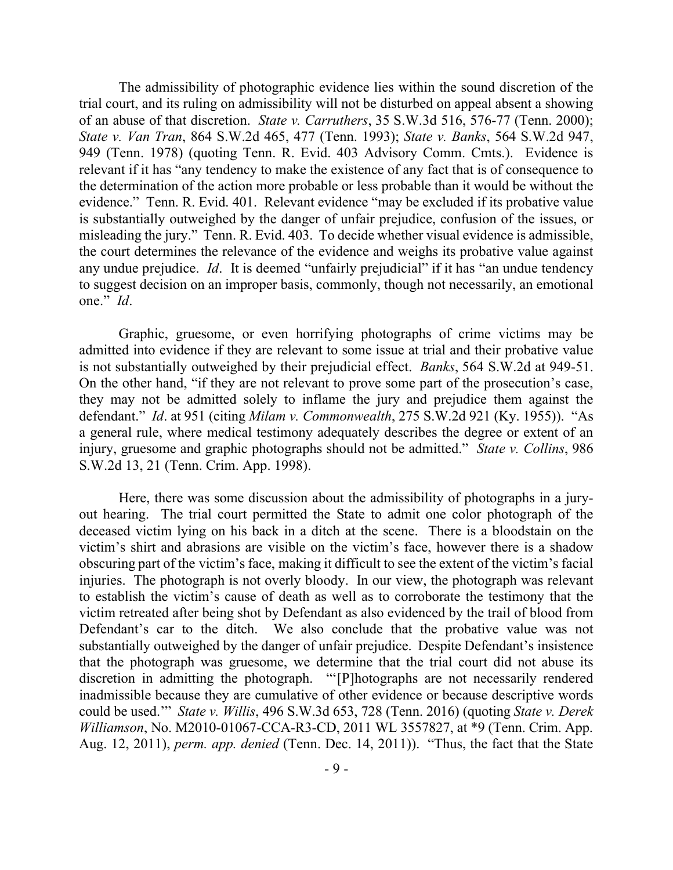The admissibility of photographic evidence lies within the sound discretion of the trial court, and its ruling on admissibility will not be disturbed on appeal absent a showing of an abuse of that discretion. *State v. Carruthers*, 35 S.W.3d 516, 576-77 (Tenn. 2000); *State v. Van Tran*, 864 S.W.2d 465, 477 (Tenn. 1993); *State v. Banks*, 564 S.W.2d 947, 949 (Tenn. 1978) (quoting Tenn. R. Evid. 403 Advisory Comm. Cmts.). Evidence is relevant if it has "any tendency to make the existence of any fact that is of consequence to the determination of the action more probable or less probable than it would be without the evidence." Tenn. R. Evid. 401. Relevant evidence "may be excluded if its probative value is substantially outweighed by the danger of unfair prejudice, confusion of the issues, or misleading the jury." Tenn. R. Evid. 403. To decide whether visual evidence is admissible, the court determines the relevance of the evidence and weighs its probative value against any undue prejudice. *Id*. It is deemed "unfairly prejudicial" if it has "an undue tendency to suggest decision on an improper basis, commonly, though not necessarily, an emotional one." *Id*.

Graphic, gruesome, or even horrifying photographs of crime victims may be admitted into evidence if they are relevant to some issue at trial and their probative value is not substantially outweighed by their prejudicial effect. *Banks*, 564 S.W.2d at 949-51. On the other hand, "if they are not relevant to prove some part of the prosecution's case, they may not be admitted solely to inflame the jury and prejudice them against the defendant." *Id*. at 951 (citing *Milam v. Commonwealth*, 275 S.W.2d 921 (Ky. 1955)). "As a general rule, where medical testimony adequately describes the degree or extent of an injury, gruesome and graphic photographs should not be admitted." *State v. Collins*, 986 S.W.2d 13, 21 (Tenn. Crim. App. 1998).

Here, there was some discussion about the admissibility of photographs in a juryout hearing. The trial court permitted the State to admit one color photograph of the deceased victim lying on his back in a ditch at the scene. There is a bloodstain on the victim's shirt and abrasions are visible on the victim's face, however there is a shadow obscuring part of the victim's face, making it difficult to see the extent of the victim's facial injuries. The photograph is not overly bloody. In our view, the photograph was relevant to establish the victim's cause of death as well as to corroborate the testimony that the victim retreated after being shot by Defendant as also evidenced by the trail of blood from Defendant's car to the ditch. We also conclude that the probative value was not substantially outweighed by the danger of unfair prejudice. Despite Defendant's insistence that the photograph was gruesome, we determine that the trial court did not abuse its discretion in admitting the photograph. "'[P]hotographs are not necessarily rendered inadmissible because they are cumulative of other evidence or because descriptive words could be used.'" *State v. Willis*, 496 S.W.3d 653, 728 (Tenn. 2016) (quoting *State v. Derek Williamson*, No. M2010-01067-CCA-R3-CD, 2011 WL 3557827, at \*9 (Tenn. Crim. App. Aug. 12, 2011), *perm. app. denied* (Tenn. Dec. 14, 2011)). "Thus, the fact that the State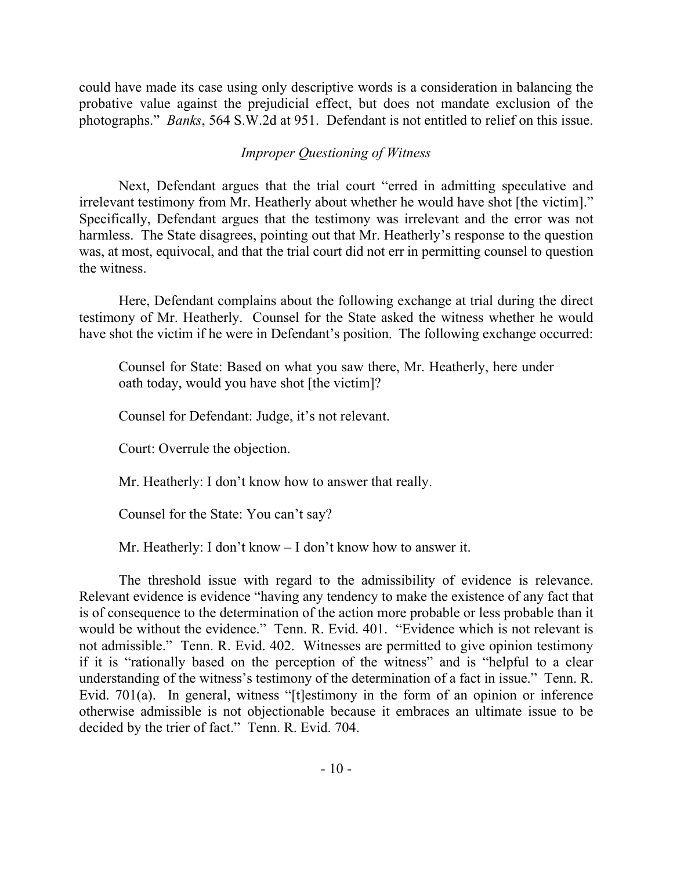could have made its case using only descriptive words is a consideration in balancing the probative value against the prejudicial effect, but does not mandate exclusion of the photographs." *Banks*, 564 S.W.2d at 951. Defendant is not entitled to relief on this issue.

# *Improper Questioning of Witness*

Next, Defendant argues that the trial court "erred in admitting speculative and irrelevant testimony from Mr. Heatherly about whether he would have shot [the victim]." Specifically, Defendant argues that the testimony was irrelevant and the error was not harmless. The State disagrees, pointing out that Mr. Heatherly's response to the question was, at most, equivocal, and that the trial court did not err in permitting counsel to question the witness.

Here, Defendant complains about the following exchange at trial during the direct testimony of Mr. Heatherly. Counsel for the State asked the witness whether he would have shot the victim if he were in Defendant's position. The following exchange occurred:

Counsel for State: Based on what you saw there, Mr. Heatherly, here under oath today, would you have shot [the victim]?

Counsel for Defendant: Judge, it's not relevant.

Court: Overrule the objection.

Mr. Heatherly: I don't know how to answer that really.

Counsel for the State: You can't say?

Mr. Heatherly: I don't know – I don't know how to answer it.

The threshold issue with regard to the admissibility of evidence is relevance. Relevant evidence is evidence "having any tendency to make the existence of any fact that is of consequence to the determination of the action more probable or less probable than it would be without the evidence." Tenn. R. Evid. 401. "Evidence which is not relevant is not admissible." Tenn. R. Evid. 402. Witnesses are permitted to give opinion testimony if it is "rationally based on the perception of the witness" and is "helpful to a clear understanding of the witness's testimony of the determination of a fact in issue." Tenn. R. Evid. 701(a). In general, witness "[t]estimony in the form of an opinion or inference otherwise admissible is not objectionable because it embraces an ultimate issue to be decided by the trier of fact." Tenn. R. Evid. 704.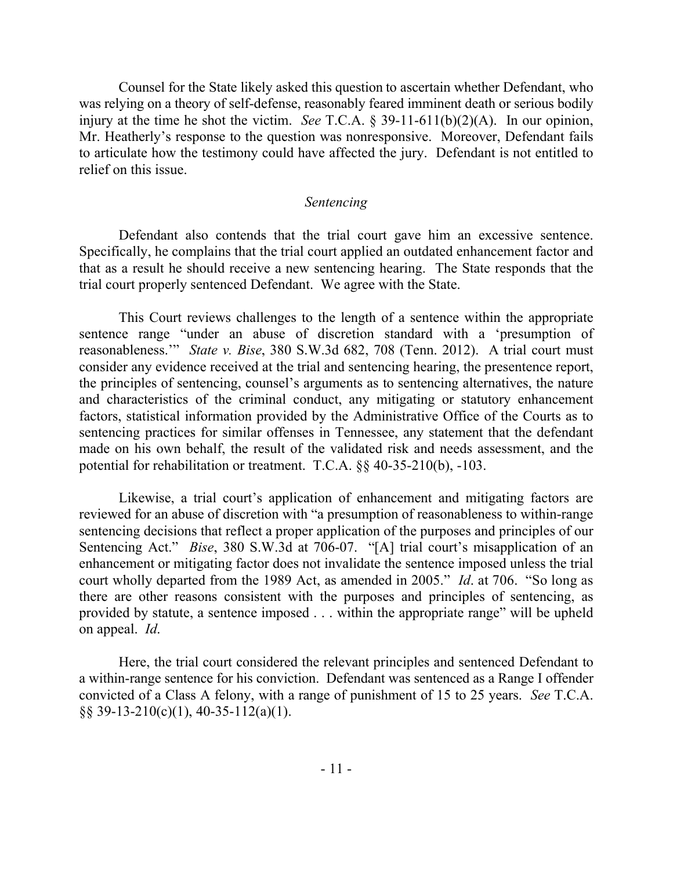Counsel for the State likely asked this question to ascertain whether Defendant, who was relying on a theory of self-defense, reasonably feared imminent death or serious bodily injury at the time he shot the victim. *See* T.C.A. § 39-11-611(b)(2)(A). In our opinion, Mr. Heatherly's response to the question was nonresponsive. Moreover, Defendant fails to articulate how the testimony could have affected the jury. Defendant is not entitled to relief on this issue.

#### *Sentencing*

Defendant also contends that the trial court gave him an excessive sentence. Specifically, he complains that the trial court applied an outdated enhancement factor and that as a result he should receive a new sentencing hearing. The State responds that the trial court properly sentenced Defendant. We agree with the State.

This Court reviews challenges to the length of a sentence within the appropriate sentence range "under an abuse of discretion standard with a 'presumption of reasonableness.'" *State v. Bise*, 380 S.W.3d 682, 708 (Tenn. 2012). A trial court must consider any evidence received at the trial and sentencing hearing, the presentence report, the principles of sentencing, counsel's arguments as to sentencing alternatives, the nature and characteristics of the criminal conduct, any mitigating or statutory enhancement factors, statistical information provided by the Administrative Office of the Courts as to sentencing practices for similar offenses in Tennessee, any statement that the defendant made on his own behalf, the result of the validated risk and needs assessment, and the potential for rehabilitation or treatment. T.C.A. §§ 40-35-210(b), -103.

Likewise, a trial court's application of enhancement and mitigating factors are reviewed for an abuse of discretion with "a presumption of reasonableness to within-range sentencing decisions that reflect a proper application of the purposes and principles of our Sentencing Act." *Bise*, 380 S.W.3d at 706-07. "[A] trial court's misapplication of an enhancement or mitigating factor does not invalidate the sentence imposed unless the trial court wholly departed from the 1989 Act, as amended in 2005." *Id*. at 706. "So long as there are other reasons consistent with the purposes and principles of sentencing, as provided by statute, a sentence imposed . . . within the appropriate range" will be upheld on appeal. *Id*.

Here, the trial court considered the relevant principles and sentenced Defendant to a within-range sentence for his conviction. Defendant was sentenced as a Range I offender convicted of a Class A felony, with a range of punishment of 15 to 25 years. *See* T.C.A. §§ 39-13-210(c)(1), 40-35-112(a)(1).